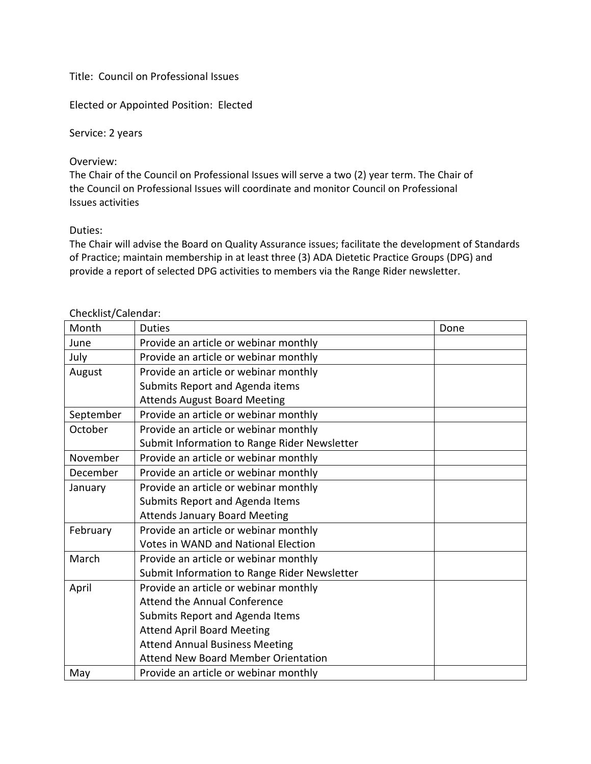## Title: Council on Professional Issues

Elected or Appointed Position: Elected

Service: 2 years

## Overview:

The Chair of the Council on Professional Issues will serve a two (2) year term. The Chair of the Council on Professional Issues will coordinate and monitor Council on Professional Issues activities

## Duties:

The Chair will advise the Board on Quality Assurance issues; facilitate the development of Standards of Practice; maintain membership in at least three (3) ADA Dietetic Practice Groups (DPG) and provide a report of selected DPG activities to members via the Range Rider newsletter.

## Checklist/Calendar:

| Month     | <b>Duties</b>                                | Done |
|-----------|----------------------------------------------|------|
| June      | Provide an article or webinar monthly        |      |
| July      | Provide an article or webinar monthly        |      |
| August    | Provide an article or webinar monthly        |      |
|           | Submits Report and Agenda items              |      |
|           | <b>Attends August Board Meeting</b>          |      |
| September | Provide an article or webinar monthly        |      |
| October   | Provide an article or webinar monthly        |      |
|           | Submit Information to Range Rider Newsletter |      |
| November  | Provide an article or webinar monthly        |      |
| December  | Provide an article or webinar monthly        |      |
| January   | Provide an article or webinar monthly        |      |
|           | Submits Report and Agenda Items              |      |
|           | <b>Attends January Board Meeting</b>         |      |
| February  | Provide an article or webinar monthly        |      |
|           | <b>Votes in WAND and National Election</b>   |      |
| March     | Provide an article or webinar monthly        |      |
|           | Submit Information to Range Rider Newsletter |      |
| April     | Provide an article or webinar monthly        |      |
|           | Attend the Annual Conference                 |      |
|           | Submits Report and Agenda Items              |      |
|           | <b>Attend April Board Meeting</b>            |      |
|           | <b>Attend Annual Business Meeting</b>        |      |
|           | <b>Attend New Board Member Orientation</b>   |      |
| May       | Provide an article or webinar monthly        |      |